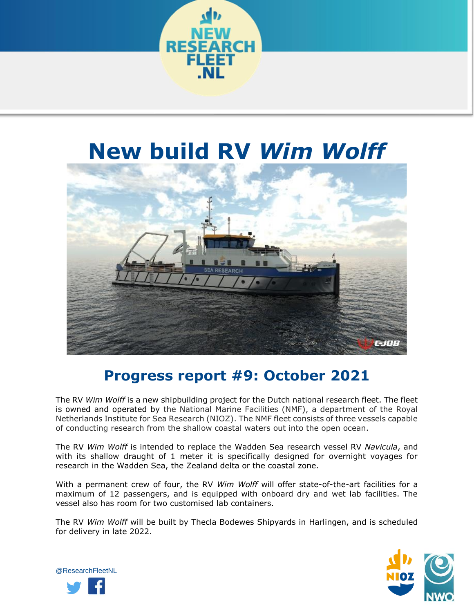

## **New build RV** *Wim Wolff*



## **Progress report #9: October 2021**

The RV *Wim Wolff* is a new shipbuilding project for the Dutch national research fleet. The fleet is owned and operated by the National Marine Facilities (NMF), a department of the Royal Netherlands Institute for Sea Research (NIOZ). The NMF fleet consists of three vessels capable of conducting research from the shallow coastal waters out into the open ocean.

The RV *Wim Wolff* is intended to replace the Wadden Sea research vessel RV *Navicula*, and with its shallow draught of 1 meter it is specifically designed for overnight voyages for research in the Wadden Sea, the Zealand delta or the coastal zone.

With a permanent crew of four, the RV *Wim Wolff* will offer state-of-the-art facilities for a maximum of 12 passengers, and is equipped with onboard dry and wet lab facilities. The vessel also has room for two customised lab containers.

The RV *Wim Wolff* will be built by Thecla Bodewes Shipyards in Harlingen, and is scheduled for delivery in late 2022.



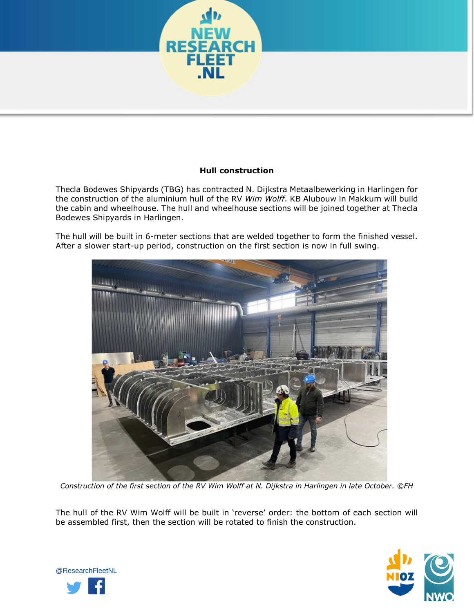

## **Hull construction**

Thecla Bodewes Shipyards (TBG) has contracted N. Dijkstra Metaalbewerking in Harlingen for the construction of the aluminium hull of the RV *Wim Wolff*. KB Alubouw in Makkum will build the cabin and wheelhouse. The hull and wheelhouse sections will be joined together at Thecla Bodewes Shipyards in Harlingen.

The hull will be built in 6-meter sections that are welded together to form the finished vessel. After a slower start-up period, construction on the first section is now in full swing.



*Construction of the first section of the RV Wim Wolff at N. Dijkstra in Harlingen in late October. ©FH* 

The hull of the RV Wim Wolff will be built in 'reverse' order: the bottom of each section will be assembled first, then the section will be rotated to finish the construction.



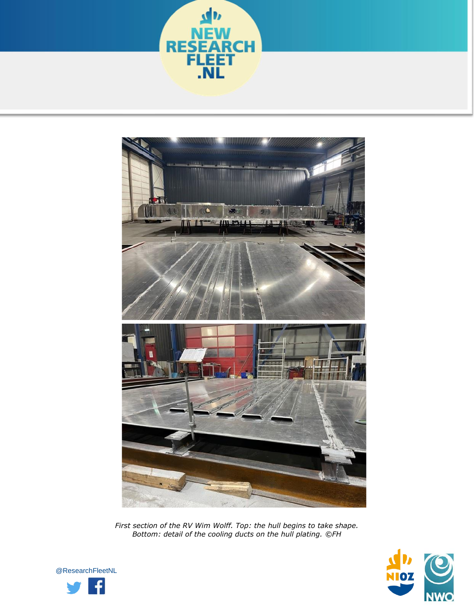



*First section of the RV Wim Wolff. Top: the hull begins to take shape. Bottom: detail of the cooling ducts on the hull plating. ©FH*